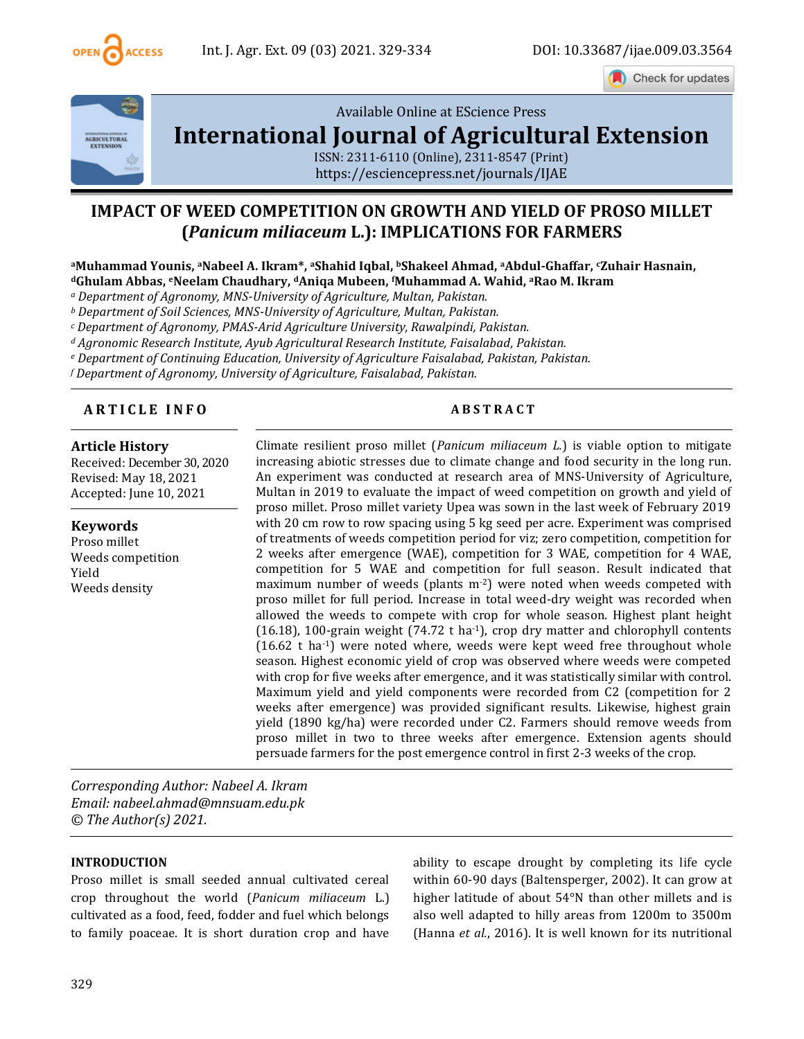

Check for updates



[Available Online at EScience Press](file:///C:/Users/user/Downloads/finalvol9issue32021ijae26articles/Available%20Online%20at%20EScience%20Press%20International%20Journal%20of%20Agricultural%20ExtensionISSN:%202311-6110%20(Online),%202311-8547%20(Print)https:/esciencepress.net/journals/IJAE) 

# **[International Journal of Agricultural Extension](file:///C:/Users/user/Downloads/finalvol9issue32021ijae26articles/Available%20Online%20at%20EScience%20Press%20International%20Journal%20of%20Agricultural%20ExtensionISSN:%202311-6110%20(Online),%202311-8547%20(Print)https:/esciencepress.net/journals/IJAE)**

[ISSN: 2311-6110 \(Online\), 2311-8547 \(Print\)](file:///C:/Users/user/Downloads/finalvol9issue32021ijae26articles/Available%20Online%20at%20EScience%20Press%20International%20Journal%20of%20Agricultural%20ExtensionISSN:%202311-6110%20(Online),%202311-8547%20(Print)https:/esciencepress.net/journals/IJAE) [https://esciencepress.net/journals/IJAE](file:///C:/Users/user/Downloads/finalvol9issue32021ijae26articles/Available%20Online%20at%20EScience%20Press%20International%20Journal%20of%20Agricultural%20ExtensionISSN:%202311-6110%20(Online),%202311-8547%20(Print)https:/esciencepress.net/journals/IJAE)

## **IMPACT OF WEED COMPETITION ON GROWTH AND YIELD OF PROSO MILLET (***Panicum miliaceum* **L.): IMPLICATIONS FOR FARMERS**

**<sup>a</sup>Muhammad Younis, aNabeel A. Ikram\*, aShahid Iqbal, bShakeel Ahmad, aAbdul-Ghaffar, cZuhair Hasnain, <sup>d</sup>Ghulam Abbas, eNeelam Chaudhary, dAniqa Mubeen, <sup>f</sup>Muhammad A. Wahid, <sup>a</sup>Rao M. Ikram**

*<sup>a</sup> Department of Agronomy, MNS-University of Agriculture, Multan, Pakistan.*

*<sup>b</sup> Department of Soil Sciences, MNS-University of Agriculture, Multan, Pakistan.*

*<sup>c</sup> Department of Agronomy, PMAS-Arid Agriculture University, Rawalpindi, Pakistan.*

*<sup>d</sup> Agronomic Research Institute, Ayub Agricultural Research Institute, Faisalabad, Pakistan.*

*<sup>e</sup> Department of Continuing Education, University of Agriculture Faisalabad, Pakistan, Pakistan.*

*<sup>f</sup> Department of Agronomy, University of Agriculture, Faisalabad, Pakistan.* 

#### **A R T I C L E I N F O A B S T R A C T**

#### **Article History**

Received: December 30, 2020 Revised: May 18, 2021 Accepted: June 10, 2021

#### **Keywords**

Proso millet Weeds competition Yield Weeds density

Climate resilient proso millet (*Panicum miliaceum L.*) is viable option to mitigate increasing abiotic stresses due to climate change and food security in the long run. An experiment was conducted at research area of MNS-University of Agriculture, Multan in 2019 to evaluate the impact of weed competition on growth and yield of proso millet. Proso millet variety Upea was sown in the last week of February 2019 with 20 cm row to row spacing using 5 kg seed per acre. Experiment was comprised of treatments of weeds competition period for viz; zero competition, competition for 2 weeks after emergence (WAE), competition for 3 WAE, competition for 4 WAE, competition for 5 WAE and competition for full season. Result indicated that maximum number of weeds (plants m-2) were noted when weeds competed with proso millet for full period. Increase in total weed-dry weight was recorded when allowed the weeds to compete with crop for whole season. Highest plant height  $(16.18)$ , 100-grain weight  $(74.72 \text{ t} \text{ ha}^{-1})$ , crop dry matter and chlorophyll contents  $(16.62 \text{ t} \text{ ha}^{-1})$  were noted where, weeds were kept weed free throughout whole season. Highest economic yield of crop was observed where weeds were competed with crop for five weeks after emergence, and it was statistically similar with control. Maximum yield and yield components were recorded from C2 (competition for 2 weeks after emergence) was provided significant results. Likewise, highest grain yield (1890 kg/ha) were recorded under C2. Farmers should remove weeds from proso millet in two to three weeks after emergence. Extension agents should persuade farmers for the post emergence control in first 2-3 weeks of the crop.

*Corresponding Author: Nabeel A. Ikram Email: nabeel.ahmad@mnsuam.edu.pk © The Author(s) 2021.*

#### **INTRODUCTION**

Proso millet is small seeded annual cultivated cereal crop throughout the world (*Panicum miliaceum* L.) cultivated as a food, feed, fodder and fuel which belongs to family poaceae. It is short duration crop and have ability to escape drought by completing its life cycle within 60-90 days (Baltensperger, 2002). It can grow at higher latitude of about 54°N than other millets and is also well adapted to hilly areas from 1200m to 3500m (Hanna *et al.*, 2016). It is well known for its nutritional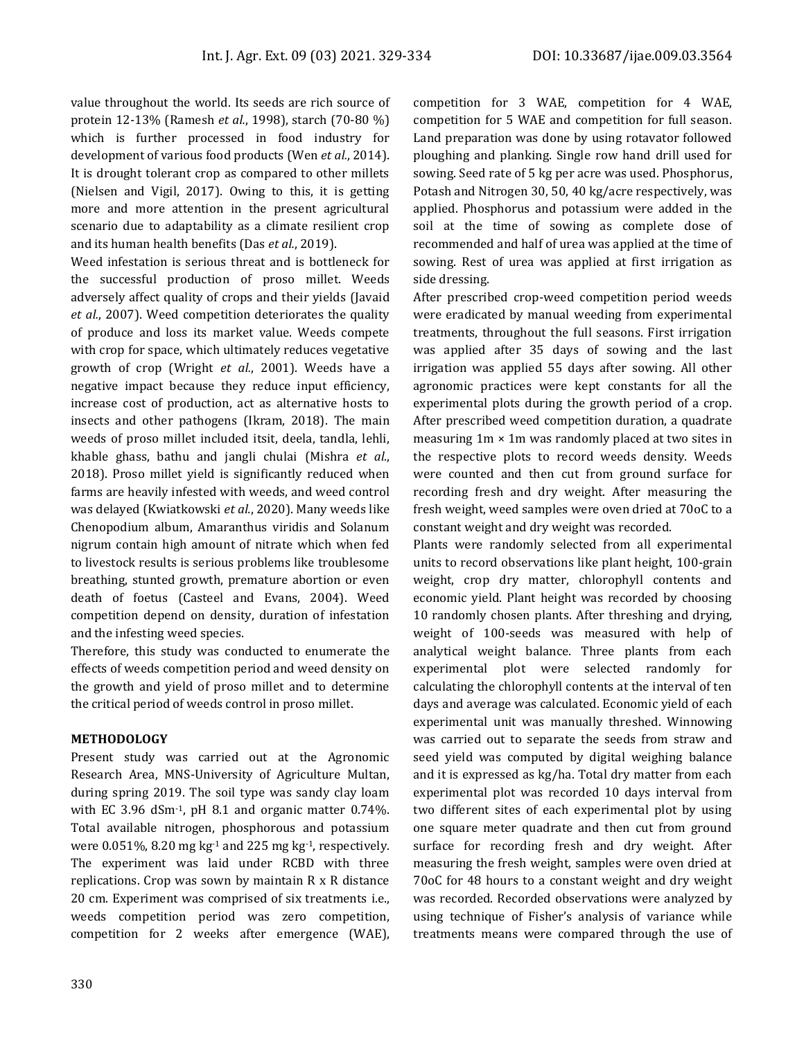value throughout the world. Its seeds are rich source of protein 12-13% (Ramesh *et al.*, 1998), starch (70-80 %) which is further processed in food industry for development of various food products (Wen *et al.*, 2014). It is drought tolerant crop as compared to other millets (Nielsen and Vigil, 2017). Owing to this, it is getting more and more attention in the present agricultural scenario due to adaptability as a climate resilient crop and its human health benefits (Das *et al.*, 2019).

Weed infestation is serious threat and is bottleneck for the successful production of proso millet. Weeds adversely affect quality of crops and their yields (Javaid *et al.*, 2007). Weed competition deteriorates the quality of produce and loss its market value. Weeds compete with crop for space, which ultimately reduces vegetative growth of crop (Wright *et al.*, 2001). Weeds have a negative impact because they reduce input efficiency, increase cost of production, act as alternative hosts to insects and other pathogens (Ikram, 2018). The main weeds of proso millet included itsit, deela, tandla, lehli, khable ghass, bathu and jangli chulai (Mishra *et al.*, 2018). Proso millet yield is significantly reduced when farms are heavily infested with weeds, and weed control was delayed (Kwiatkowski *et al.*, 2020). Many weeds like Chenopodium album, Amaranthus viridis and Solanum nigrum contain high amount of nitrate which when fed to livestock results is serious problems like troublesome breathing, stunted growth, premature abortion or even death of foetus (Casteel and Evans, 2004). Weed competition depend on density, duration of infestation and the infesting weed species.

Therefore, this study was conducted to enumerate the effects of weeds competition period and weed density on the growth and yield of proso millet and to determine the critical period of weeds control in proso millet.

### **METHODOLOGY**

Present study was carried out at the Agronomic Research Area, MNS-University of Agriculture Multan, during spring 2019. The soil type was sandy clay loam with EC 3.96 dSm<sup>-1</sup>, pH 8.1 and organic matter  $0.74\%$ . Total available nitrogen, phosphorous and potassium were  $0.051\%$ ,  $8.20 \text{ mg kg}^{-1}$  and  $225 \text{ mg kg}^{-1}$ , respectively. The experiment was laid under RCBD with three replications. Crop was sown by maintain R x R distance 20 cm. Experiment was comprised of six treatments i.e., weeds competition period was zero competition, competition for 2 weeks after emergence (WAE), competition for 3 WAE, competition for 4 WAE, competition for 5 WAE and competition for full season. Land preparation was done by using rotavator followed ploughing and planking. Single row hand drill used for sowing. Seed rate of 5 kg per acre was used. Phosphorus, Potash and Nitrogen 30, 50, 40 kg/acre respectively, was applied. Phosphorus and potassium were added in the soil at the time of sowing as complete dose of recommended and half of urea was applied at the time of sowing. Rest of urea was applied at first irrigation as side dressing.

After prescribed crop-weed competition period weeds were eradicated by manual weeding from experimental treatments, throughout the full seasons. First irrigation was applied after 35 days of sowing and the last irrigation was applied 55 days after sowing. All other agronomic practices were kept constants for all the experimental plots during the growth period of a crop. After prescribed weed competition duration, a quadrate measuring  $1m \times 1m$  was randomly placed at two sites in the respective plots to record weeds density. Weeds were counted and then cut from ground surface for recording fresh and dry weight. After measuring the fresh weight, weed samples were oven dried at 70oC to a constant weight and dry weight was recorded.

Plants were randomly selected from all experimental units to record observations like plant height, 100-grain weight, crop dry matter, chlorophyll contents and economic yield. Plant height was recorded by choosing 10 randomly chosen plants. After threshing and drying, weight of 100-seeds was measured with help of analytical weight balance. Three plants from each experimental plot were selected randomly for calculating the chlorophyll contents at the interval of ten days and average was calculated. Economic yield of each experimental unit was manually threshed. Winnowing was carried out to separate the seeds from straw and seed yield was computed by digital weighing balance and it is expressed as kg/ha. Total dry matter from each experimental plot was recorded 10 days interval from two different sites of each experimental plot by using one square meter quadrate and then cut from ground surface for recording fresh and dry weight. After measuring the fresh weight, samples were oven dried at 70oC for 48 hours to a constant weight and dry weight was recorded. Recorded observations were analyzed by using technique of Fisher's analysis of variance while treatments means were compared through the use of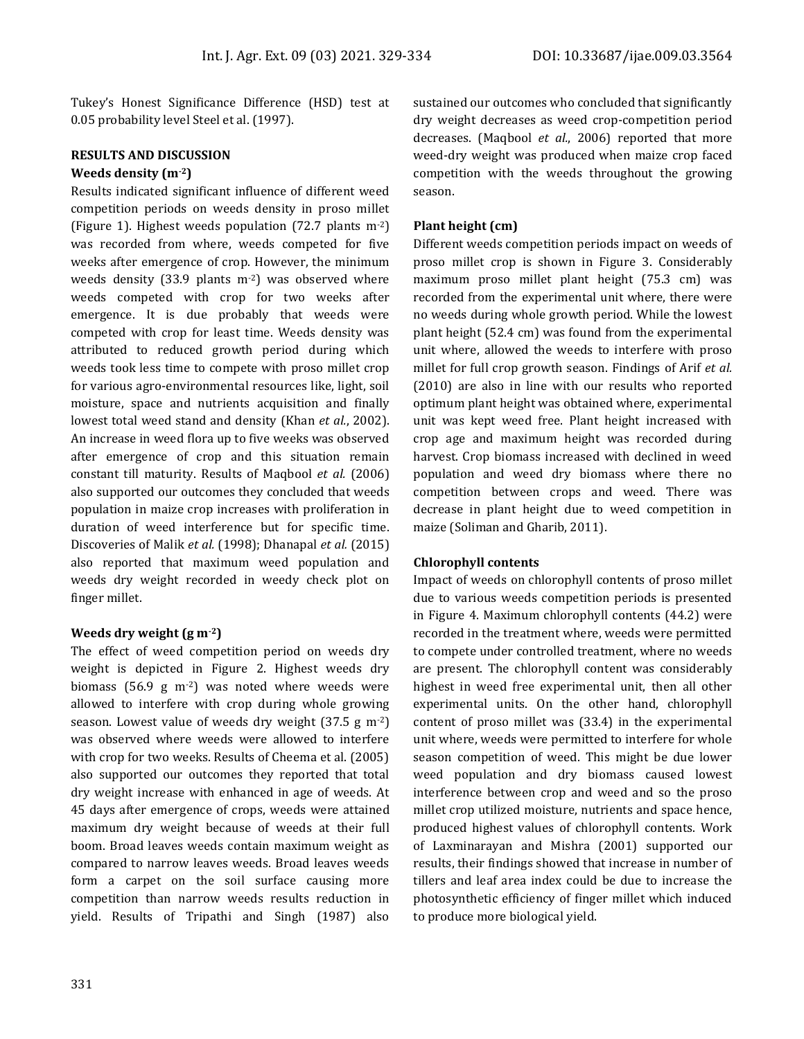Tukey's Honest Significance Difference (HSD) test at 0.05 probability level Steel et al. (1997).

#### **RESULTS AND DISCUSSION Weeds density (m-2)**

Results indicated significant influence of different weed competition periods on weeds density in proso millet (Figure 1). Highest weeds population (72.7 plants m-2) was recorded from where, weeds competed for five weeks after emergence of crop. However, the minimum weeds density (33.9 plants  $m<sup>-2</sup>$ ) was observed where weeds competed with crop for two weeks after emergence. It is due probably that weeds were competed with crop for least time. Weeds density was attributed to reduced growth period during which weeds took less time to compete with proso millet crop for various agro-environmental resources like, light, soil moisture, space and nutrients acquisition and finally lowest total weed stand and density (Khan *et al.*, 2002). An increase in weed flora up to five weeks was observed after emergence of crop and this situation remain constant till maturity. Results of Maqbool *et al.* (2006) also supported our outcomes they concluded that weeds population in maize crop increases with proliferation in duration of weed interference but for specific time. Discoveries of Malik *et al.* (1998); Dhanapal *et al.* (2015) also reported that maximum weed population and weeds dry weight recorded in weedy check plot on finger millet.

#### **Weeds dry weight (g m-2)**

The effect of weed competition period on weeds dry weight is depicted in Figure 2. Highest weeds dry biomass (56.9 g m $^{-2}$ ) was noted where weeds were allowed to interfere with crop during whole growing season. Lowest value of weeds dry weight (37.5 g m-2) was observed where weeds were allowed to interfere with crop for two weeks. Results of Cheema et al. (2005) also supported our outcomes they reported that total dry weight increase with enhanced in age of weeds. At 45 days after emergence of crops, weeds were attained maximum dry weight because of weeds at their full boom. Broad leaves weeds contain maximum weight as compared to narrow leaves weeds. Broad leaves weeds form a carpet on the soil surface causing more competition than narrow weeds results reduction in yield. Results of Tripathi and Singh (1987) also

sustained our outcomes who concluded that significantly dry weight decreases as weed crop-competition period decreases. (Maqbool *et al.*, 2006) reported that more weed-dry weight was produced when maize crop faced competition with the weeds throughout the growing season.

#### **Plant height (cm)**

Different weeds competition periods impact on weeds of proso millet crop is shown in Figure 3. Considerably maximum proso millet plant height (75.3 cm) was recorded from the experimental unit where, there were no weeds during whole growth period. While the lowest plant height (52.4 cm) was found from the experimental unit where, allowed the weeds to interfere with proso millet for full crop growth season. Findings of Arif *et al.* (2010) are also in line with our results who reported optimum plant height was obtained where, experimental unit was kept weed free. Plant height increased with crop age and maximum height was recorded during harvest. Crop biomass increased with declined in weed population and weed dry biomass where there no competition between crops and weed. There was decrease in plant height due to weed competition in maize (Soliman and Gharib, 2011).

#### **Chlorophyll contents**

Impact of weeds on chlorophyll contents of proso millet due to various weeds competition periods is presented in Figure 4. Maximum chlorophyll contents (44.2) were recorded in the treatment where, weeds were permitted to compete under controlled treatment, where no weeds are present. The chlorophyll content was considerably highest in weed free experimental unit, then all other experimental units. On the other hand, chlorophyll content of proso millet was (33.4) in the experimental unit where, weeds were permitted to interfere for whole season competition of weed. This might be due lower weed population and dry biomass caused lowest interference between crop and weed and so the proso millet crop utilized moisture, nutrients and space hence, produced highest values of chlorophyll contents. Work of Laxminarayan and Mishra (2001) supported our results, their findings showed that increase in number of tillers and leaf area index could be due to increase the photosynthetic efficiency of finger millet which induced to produce more biological yield.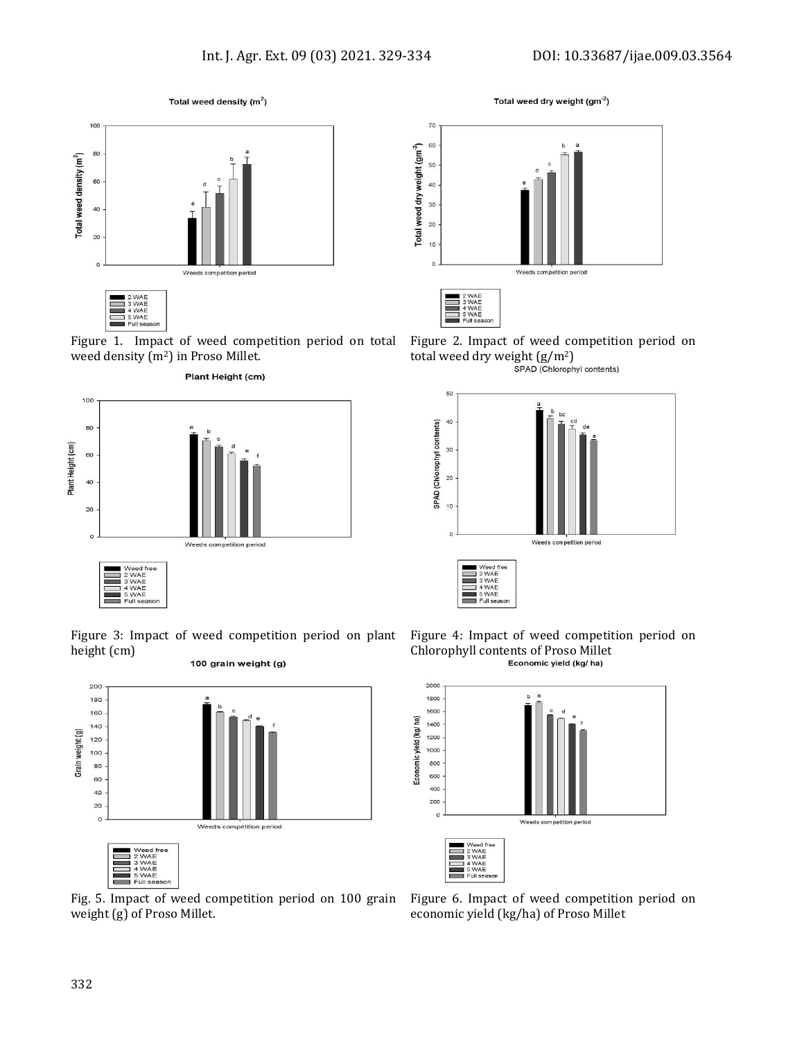Total weed density  $(m^2)$ 



Figure 1. Impact of weed competition period on total weed density (m<sup>2</sup>) in Proso Millet.



Figure 3: Impact of weed competition period on plant height (cm) 100 grain weight (g)



Fig. 5. Impact of weed competition period on 100 grain weight (g) of Proso Millet.

Total weed dry weight (gm<sup>-2</sup>)



Figure 2. Impact of weed competition period on total weed dry weight  $(g/m^2)$ <br>
SPAD (Chlorophyl contents)







Figure 6. Impact of weed competition period on economic yield (kg/ha) of Proso Millet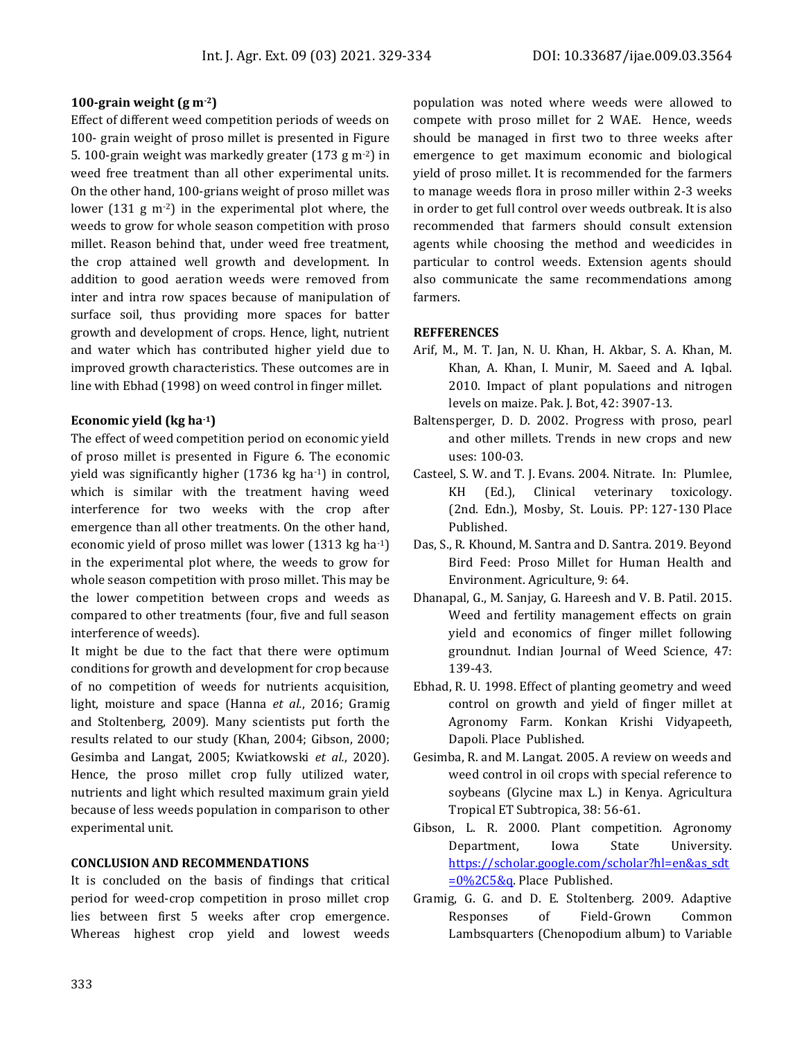#### **100-grain weight (g m-2)**

Effect of different weed competition periods of weeds on 100- grain weight of proso millet is presented in Figure 5. 100-grain weight was markedly greater (173 g m-2) in weed free treatment than all other experimental units. On the other hand, 100-grians weight of proso millet was lower (131 g m-2) in the experimental plot where, the weeds to grow for whole season competition with proso millet. Reason behind that, under weed free treatment, the crop attained well growth and development. In addition to good aeration weeds were removed from inter and intra row spaces because of manipulation of surface soil, thus providing more spaces for batter growth and development of crops. Hence, light, nutrient and water which has contributed higher yield due to improved growth characteristics. These outcomes are in line with Ebhad (1998) on weed control in finger millet.

#### **Economic yield (kg ha-1)**

The effect of weed competition period on economic yield of proso millet is presented in Figure 6. The economic yield was significantly higher (1736 kg ha-1) in control, which is similar with the treatment having weed interference for two weeks with the crop after emergence than all other treatments. On the other hand, economic yield of proso millet was lower (1313 kg ha-1) in the experimental plot where, the weeds to grow for whole season competition with proso millet. This may be the lower competition between crops and weeds as compared to other treatments (four, five and full season interference of weeds).

It might be due to the fact that there were optimum conditions for growth and development for crop because of no competition of weeds for nutrients acquisition, light, moisture and space (Hanna *et al.*, 2016; Gramig and Stoltenberg, 2009). Many scientists put forth the results related to our study (Khan, 2004; Gibson, 2000; Gesimba and Langat, 2005; Kwiatkowski *et al.*, 2020). Hence, the proso millet crop fully utilized water, nutrients and light which resulted maximum grain yield because of less weeds population in comparison to other experimental unit.

#### **CONCLUSION AND RECOMMENDATIONS**

It is concluded on the basis of findings that critical period for weed-crop competition in proso millet crop lies between first 5 weeks after crop emergence. Whereas highest crop yield and lowest weeds

population was noted where weeds were allowed to compete with proso millet for 2 WAE. Hence, weeds should be managed in first two to three weeks after emergence to get maximum economic and biological yield of proso millet. It is recommended for the farmers to manage weeds flora in proso miller within 2-3 weeks in order to get full control over weeds outbreak. It is also recommended that farmers should consult extension agents while choosing the method and weedicides in particular to control weeds. Extension agents should also communicate the same recommendations among farmers.

#### **REFFERENCES**

- Arif, M., M. T. Jan, N. U. Khan, H. Akbar, S. A. Khan, M. Khan, A. Khan, I. Munir, M. Saeed and A. Iqbal. 2010. Impact of plant populations and nitrogen levels on maize. Pak. J. Bot, 42: 3907-13.
- Baltensperger, D. D. 2002. Progress with proso, pearl and other millets. Trends in new crops and new uses: 100-03.
- Casteel, S. W. and T. J. Evans. 2004. Nitrate. In: Plumlee, KH (Ed.), Clinical veterinary toxicology. (2nd. Edn.), Mosby, St. Louis. PP: 127-130 Place Published.
- Das, S., R. Khound, M. Santra and D. Santra. 2019. Beyond Bird Feed: Proso Millet for Human Health and Environment. Agriculture, 9: 64.
- Dhanapal, G., M. Sanjay, G. Hareesh and V. B. Patil. 2015. Weed and fertility management effects on grain yield and economics of finger millet following groundnut. Indian Journal of Weed Science, 47: 139-43.
- Ebhad, R. U. 1998. Effect of planting geometry and weed control on growth and yield of finger millet at Agronomy Farm. Konkan Krishi Vidyapeeth, Dapoli. Place Published.
- Gesimba, R. and M. Langat. 2005. A review on weeds and weed control in oil crops with special reference to soybeans (Glycine max L.) in Kenya. Agricultura Tropical ET Subtropica, 38: 56-61.
- Gibson, L. R. 2000. Plant competition. Agronomy Department, Iowa State University. [https://scholar.google.com/scholar?hl=en&as\\_sdt](https://scholar.google.com/scholar?hl=en&as_sdt=0%2C5&q) [=0%2C5&q.](https://scholar.google.com/scholar?hl=en&as_sdt=0%2C5&q) Place Published.
- Gramig, G. G. and D. E. Stoltenberg. 2009. Adaptive Responses of Field-Grown Common Lambsquarters (Chenopodium album) to Variable